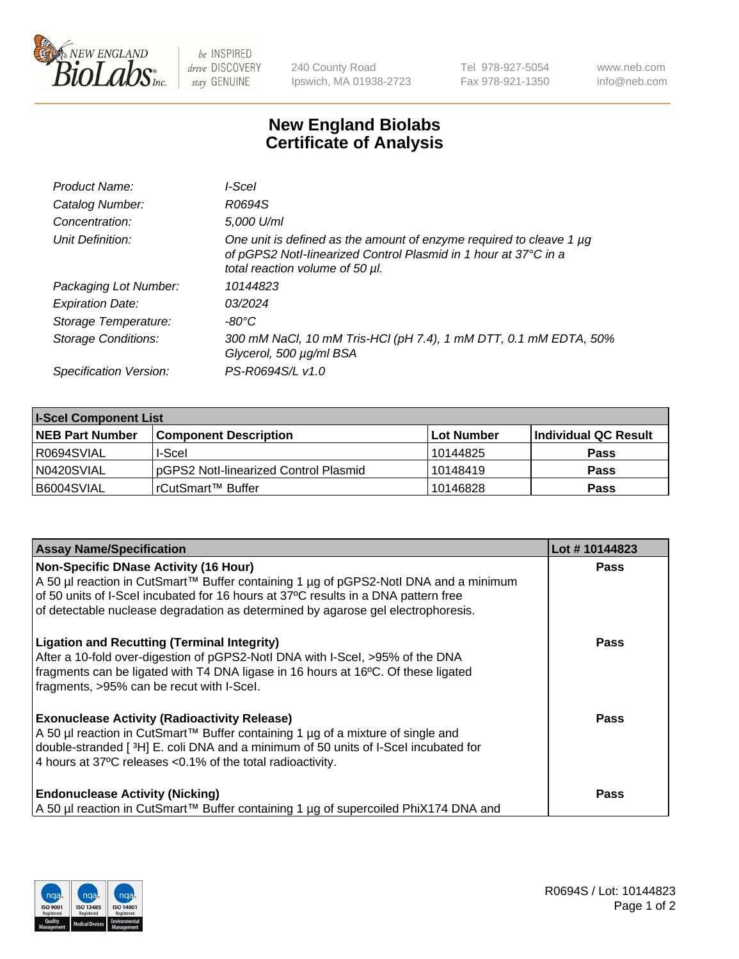

 $be$  INSPIRED drive DISCOVERY stay GENUINE

240 County Road Ipswich, MA 01938-2723 Tel 978-927-5054 Fax 978-921-1350 www.neb.com info@neb.com

## **New England Biolabs Certificate of Analysis**

| Product Name:           | I-Scel                                                                                                                                                                    |
|-------------------------|---------------------------------------------------------------------------------------------------------------------------------------------------------------------------|
| Catalog Number:         | R0694S                                                                                                                                                                    |
| Concentration:          | 5,000 U/ml                                                                                                                                                                |
| Unit Definition:        | One unit is defined as the amount of enzyme required to cleave 1 µg<br>of pGPS2 Notl-linearized Control Plasmid in 1 hour at 37°C in a<br>total reaction volume of 50 µl. |
| Packaging Lot Number:   | 10144823                                                                                                                                                                  |
| <b>Expiration Date:</b> | 03/2024                                                                                                                                                                   |
| Storage Temperature:    | -80°C                                                                                                                                                                     |
| Storage Conditions:     | 300 mM NaCl, 10 mM Tris-HCl (pH 7.4), 1 mM DTT, 0.1 mM EDTA, 50%<br>Glycerol, 500 µg/ml BSA                                                                               |
| Specification Version:  | PS-R0694S/L v1.0                                                                                                                                                          |

| <b>I-Scel Component List</b> |                                       |            |                             |  |  |
|------------------------------|---------------------------------------|------------|-----------------------------|--|--|
| <b>NEB Part Number</b>       | <b>Component Description</b>          | Lot Number | <b>Individual QC Result</b> |  |  |
| I R0694SVIAL                 | I-Scel                                | 10144825   | <b>Pass</b>                 |  |  |
| N0420SVIAL                   | pGPS2 Notl-linearized Control Plasmid | 10148419   | <b>Pass</b>                 |  |  |
| B6004SVIAL                   | l rCutSmart™ Buffer_                  | 10146828   | <b>Pass</b>                 |  |  |

| <b>Assay Name/Specification</b>                                                                                                                                                                                                                                                             | Lot #10144823 |
|---------------------------------------------------------------------------------------------------------------------------------------------------------------------------------------------------------------------------------------------------------------------------------------------|---------------|
| <b>Non-Specific DNase Activity (16 Hour)</b><br>A 50 µl reaction in CutSmart™ Buffer containing 1 µg of pGPS2-Notl DNA and a minimum                                                                                                                                                        | <b>Pass</b>   |
| of 50 units of I-Scel incubated for 16 hours at 37°C results in a DNA pattern free<br>of detectable nuclease degradation as determined by agarose gel electrophoresis.                                                                                                                      |               |
| <b>Ligation and Recutting (Terminal Integrity)</b><br>After a 10-fold over-digestion of pGPS2-Notl DNA with I-Scel, >95% of the DNA<br>fragments can be ligated with T4 DNA ligase in 16 hours at 16°C. Of these ligated<br>fragments, >95% can be recut with I-Scel.                       | Pass          |
| <b>Exonuclease Activity (Radioactivity Release)</b><br>A 50 µl reaction in CutSmart™ Buffer containing 1 µg of a mixture of single and<br>double-stranded [3H] E. coli DNA and a minimum of 50 units of I-Scel incubated for<br>4 hours at 37°C releases < 0.1% of the total radioactivity. | Pass          |
| <b>Endonuclease Activity (Nicking)</b><br>A 50 µl reaction in CutSmart™ Buffer containing 1 µg of supercoiled PhiX174 DNA and                                                                                                                                                               | <b>Pass</b>   |